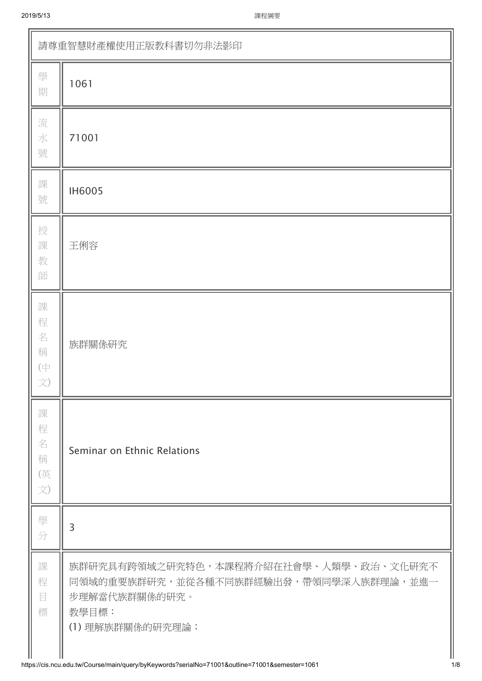| 請尊重智慧財產權使用正版教科書切勿非法影印                |                                                                                                                                |  |  |
|--------------------------------------|--------------------------------------------------------------------------------------------------------------------------------|--|--|
| 學<br>期                               | 1061                                                                                                                           |  |  |
| 流<br>水<br>號                          | 71001                                                                                                                          |  |  |
| 課<br>號                               | <b>IH6005</b>                                                                                                                  |  |  |
| 授<br>課<br>教<br>師                     | 王俐容                                                                                                                            |  |  |
| 課<br>程<br>名<br>稱<br>$(\dagger$<br>文) | 族群關係研究                                                                                                                         |  |  |
| 課<br>程<br>名<br>稱<br>(英<br>文)         | Seminar on Ethnic Relations                                                                                                    |  |  |
| 學<br>分                               | 3                                                                                                                              |  |  |
| 課<br>程<br>目<br>標                     | 族群研究具有跨領域之研究特色,本課程將介紹在社會學、人類學、政治、文化研究不<br>同領域的重要族群研究,並從各種不同族群經驗出發,帶領同學深入族群理論,並進一<br>步理解當代族群關係的研究。<br>教學目標:<br>(1) 理解族群關係的研究理論; |  |  |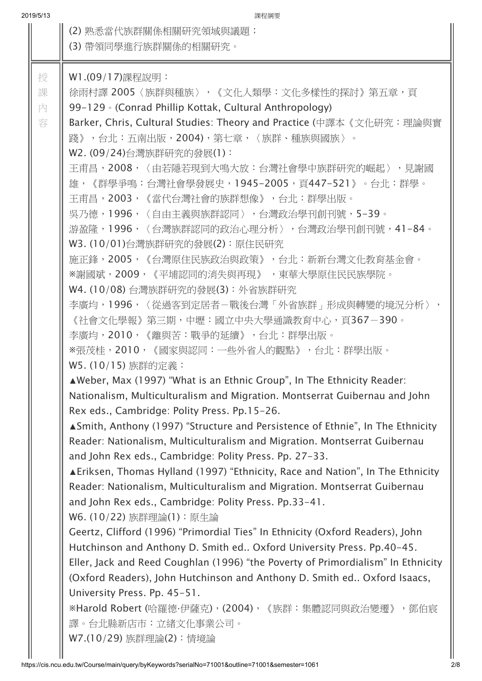| 2019/5/13        | 課程綱要                                                                                                                                                                                                                                                                                                                                                                                                                                                                                                                                                                                                                                                                                                                                                                                                                                                                                                                                                                                                                                                                                                                                                                                                                                                                                                                                                                                                                                                                                                                                                                                                                                                                                                                                                                                                                                                                                                                                                                                                                                                                                                                                       |
|------------------|--------------------------------------------------------------------------------------------------------------------------------------------------------------------------------------------------------------------------------------------------------------------------------------------------------------------------------------------------------------------------------------------------------------------------------------------------------------------------------------------------------------------------------------------------------------------------------------------------------------------------------------------------------------------------------------------------------------------------------------------------------------------------------------------------------------------------------------------------------------------------------------------------------------------------------------------------------------------------------------------------------------------------------------------------------------------------------------------------------------------------------------------------------------------------------------------------------------------------------------------------------------------------------------------------------------------------------------------------------------------------------------------------------------------------------------------------------------------------------------------------------------------------------------------------------------------------------------------------------------------------------------------------------------------------------------------------------------------------------------------------------------------------------------------------------------------------------------------------------------------------------------------------------------------------------------------------------------------------------------------------------------------------------------------------------------------------------------------------------------------------------------------|
|                  | (2) 熟悉當代族群關係相關研究領域與議題;<br>(3) 帶領同學進行族群關係的相關研究。                                                                                                                                                                                                                                                                                                                                                                                                                                                                                                                                                                                                                                                                                                                                                                                                                                                                                                                                                                                                                                                                                                                                                                                                                                                                                                                                                                                                                                                                                                                                                                                                                                                                                                                                                                                                                                                                                                                                                                                                                                                                                             |
| 授<br>課<br>內<br>容 | W1.(09/17)課程說明:<br>徐雨村譯 2005〈族群與種族〉,《文化人類學:文化多樣性的探討》第五章,頁<br>99-129 • (Conrad Phillip Kottak, Cultural Anthropology)<br>Barker, Chris, Cultural Studies: Theory and Practice (中譯本《文化研究:理論與實<br>踐》,台北:五南出版,2004),第七章,〈族群、種族與國族〉。<br>W2. (09/24)台灣族群研究的發展(1):<br>王甫昌,2008,〈由若隱若現到大鳴大放:台灣社會學中族群研究的崛起〉,見謝國<br>雄,《群學爭鳴:台灣社會學發展史,1945-2005,頁447-521》。台北:群學。<br>王甫昌,2003,《當代台灣社會的族群想像》,台北:群學出版。<br>吳乃德,1996,〈自由主義與族群認同〉,台灣政治學刊創刊號,5-39。<br>游盈隆,1996,〈台灣族群認同的政治心理分析〉,台灣政治學刊創刊號,41-84。<br>W3. (10/01)台灣族群研究的發展(2): 原住民研究<br>施正鋒,2005,《台灣原住民族政治與政策》,台北:新新台灣文化教育基金會。<br>※謝國斌,2009,《平埔認同的消失與再現》 ,東華大學原住民民族學院。<br>W4. (10/08) 台灣族群研究的發展(3): 外省族群研究<br>李廣均,1996,〈從過客到定居者-戰後台灣「外省族群」形成與轉變的境況分析〉,<br>《社會文化學報》 第三期,中壢:國立中央大學通識教育中心,頁367-390。<br>李廣均,2010,《離與苦:戰爭的延續》,台北:群學出版。<br>※張茂桂,2010,《國家與認同:一些外省人的觀點》,台北:群學出版。<br>W5. (10/15) 族群的定義:<br>▲Weber, Max (1997) "What is an Ethnic Group", In The Ethnicity Reader:<br>Nationalism, Multiculturalism and Migration. Montserrat Guibernau and John<br>Rex eds., Cambridge: Polity Press. Pp.15-26.<br><b>Anally 1997</b> Structure and Persistence of Ethnie", In The Ethnicity Associated Persistence of Ethnicity<br>Reader: Nationalism, Multiculturalism and Migration. Montserrat Guibernau<br>and John Rex eds., Cambridge: Polity Press. Pp. 27-33.<br><b>ALARELIAN EXAMPEDIARY EXAMPLE THE EXAMPLE THE SET AND FIGURE THE SET ARE EXAMPLE THE EXAMPLE THE EXAMPLE THE EXAMPLE THE EXAMPLE THE EXAMPLE THE EXAMPLE THE EXAMPLE THE EXAMPLE THE EXAMPLE THE EXAMPLE THE EXAMPLE THE EXA</b><br>Reader: Nationalism, Multiculturalism and Migration. Montserrat Guibernau<br>and John Rex eds., Cambridge: Polity Press. Pp.33-41.<br>W6. (10/22) 族群理論(1):原生論<br>Geertz, Clifford (1996) "Primordial Ties" In Ethnicity (Oxford Readers), John<br>Hutchinson and Anthony D. Smith ed Oxford University Press. Pp.40-45.<br>Eller, Jack and Reed Coughlan (1996) "the Poverty of Primordialism" In Ethnicity<br>(Oxford Readers), John Hutchinson and Anthony D. Smith ed Oxford Isaacs,<br>University Press. Pp. 45-51.<br>※Harold Robert (哈羅德·伊薩克), (2004), 《族群:集體認同與政治變遷》, 鄧伯宸<br>譯。台北縣新店市:立緒文化事業公司。 |
|                  | W7.(10/29) 族群理論(2):情境論                                                                                                                                                                                                                                                                                                                                                                                                                                                                                                                                                                                                                                                                                                                                                                                                                                                                                                                                                                                                                                                                                                                                                                                                                                                                                                                                                                                                                                                                                                                                                                                                                                                                                                                                                                                                                                                                                                                                                                                                                                                                                                                     |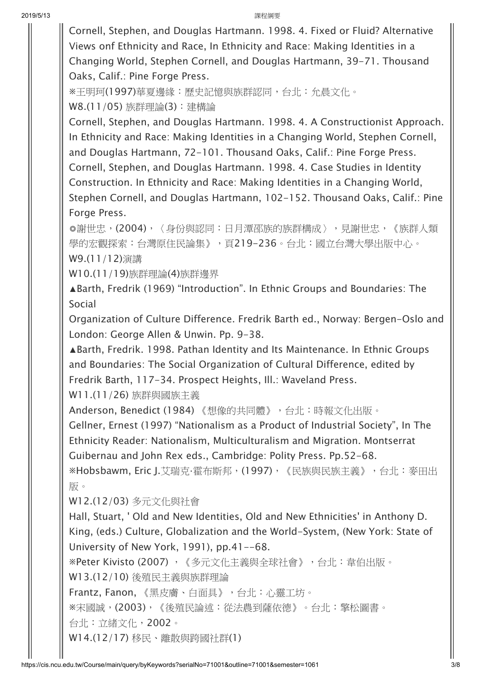Cornell, Stephen, and Douglas Hartmann. 1998. 4. Fixed or Fluid? Alternative Views onf Ethnicity and Race, In Ethnicity and Race: Making Identities in a Changing World, Stephen Cornell, and Douglas Hartmann, 39-71. Thousand Oaks, Calif.: Pine Forge Press.

※王明珂(1997)華夏邊緣:歷史記憶與族群認同,台北:允晨文化。 W8.(11/05) 族群理論(3):建構論

Cornell, Stephen, and Douglas Hartmann. 1998. 4. A Constructionist Approach. In Ethnicity and Race: Making Identities in a Changing World, Stephen Cornell, and Douglas Hartmann, 72-101. Thousand Oaks, Calif.: Pine Forge Press. Cornell, Stephen, and Douglas Hartmann. 1998. 4. Case Studies in Identity Construction. In Ethnicity and Race: Making Identities in a Changing World, Stephen Cornell, and Douglas Hartmann, 102-152. Thousand Oaks, Calif.: Pine Forge Press.

◎謝世忠, (2004), 〈身份與認同:日月潭邵族的族群構成〉, 見謝世忠, 《族群人類 學的宏觀探索:台灣原住民論集》,頁219-236。台北:國立台灣大學出版中心。 W9.(11/12)演講

W10.(11/19)族群理論(4)族群邊界

▲Barth, Fredrik (1969) "Introduction". In Ethnic Groups and Boundaries: The Social

Organization of Culture Difference. Fredrik Barth ed., Norway: Bergen-Oslo and London: George Allen & Unwin. Pp. 9-38.

▲Barth, Fredrik. 1998. Pathan Identity and Its Maintenance. In Ethnic Groups and Boundaries: The Social Organization of Cultural Difference, edited by Fredrik Barth, 117-34. Prospect Heights, Ill.: Waveland Press.

W11.(11/26) 族群與國族主義

Anderson, Benedict (1984) 《想像的共同體》,台北:時報文化出版。

Gellner, Ernest (1997) "Nationalism as a Product of Industrial Society", In The Ethnicity Reader: Nationalism, Multiculturalism and Migration. Montserrat Guibernau and John Rex eds., Cambridge: Polity Press. Pp.52-68.

※Hobsbawm, Eric J.艾瑞克·霍布斯邦, (1997), 《民族與民族主義》, 台北: 麥田出 版。

W12.(12/03) 多元文化與社會

Hall, Stuart, ' Old and New Identities, Old and New Ethnicities' in Anthony D. King, (eds.) Culture, Globalization and the World-System, (New York: State of University of New York, 1991), pp.41--68.

※Peter Kivisto (2007) ,《多元文化主義與全球社會》,台北:韋伯出版。 W13.(12/10) 後殖民主義與族群理論

Frantz, Fanon, 《黑皮膚、白面具》,台北:心靈工坊。

※宋國誠,(2003),《後殖民論述:從法農到薩依德》。台北:擎松圖書。

台北:立緒文化,2002。

W14.(12/17) 移民、離散與跨國社群(1)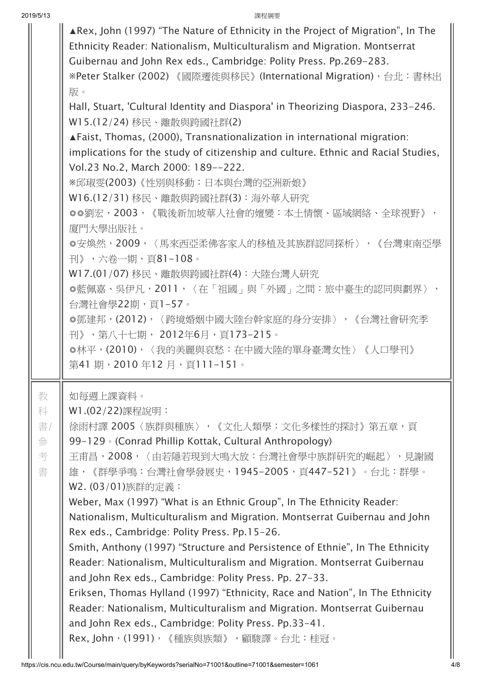|                             | <b>AREX, John (1997) "The Nature of Ethnicity in the Project of Migration", In The</b><br>Ethnicity Reader: Nationalism, Multiculturalism and Migration. Montserrat<br>Guibernau and John Rex eds., Cambridge: Polity Press. Pp.269-283.<br>※Peter Stalker (2002) 《國際遷徙與移民》 (International Migration),台北:書林出<br>版。<br>Hall, Stuart, 'Cultural Identity and Diaspora' in Theorizing Diaspora, 233-246.<br>W15.(12/24) 移民、離散與跨國社群(2)<br>▲ Faist, Thomas, (2000), Transnationalization in international migration:<br>implications for the study of citizenship and culture. Ethnic and Racial Studies,<br>Vol.23 No.2, March 2000: 189--222.<br>※邱琡雯(2003)《性別與移動:日本與台灣的亞洲新娘》<br>W16.(12/31) 移民、離散與跨國社群(3): 海外華人研究<br>◎◎劉宏,2003,《戰後新加坡華人社會的嬗變:本土情懷、區域網絡、全球視野》,<br>廈門大學出版社。<br>◎安煥然,2009,〈馬來西亞柔佛客家人的移植及其族群認同探析〉,《台灣東南亞學<br>刊》,六卷一期,頁81-108。<br>W17.(01/07) 移民、離散與跨國社群(4):大陸台灣人研究<br>◎藍佩嘉、吳伊凡,2011,〈在「祖國」與「外國」之間:旅中臺生的認同與劃界〉,<br>台灣社會學22期,頁1–57。<br>◎鄧建邦,(2012),〈跨境婚姻中國大陸台幹家庭的身分安排〉,《台灣社會研究季<br>刊》,第八十七期, 2012年6月,頁173-215。<br>◎林平,(2010),〈我的美麗與哀愁:在中國大陸的單身臺灣女性〉《人口學刊》<br>第41 期,2010年12 月,頁111-151。 |
|-----------------------------|------------------------------------------------------------------------------------------------------------------------------------------------------------------------------------------------------------------------------------------------------------------------------------------------------------------------------------------------------------------------------------------------------------------------------------------------------------------------------------------------------------------------------------------------------------------------------------------------------------------------------------------------------------------------------------------------------------------------------------------------------------------------------------------------------------------------------------------------------------------------------------------------------------------------------------------------------------------------------------------------------------------------------------------------------------------------------------------------|
| 教<br>科<br>書/<br>參<br>考<br>書 | 如每週上課資料。<br>W1.(02/22)課程說明:<br>徐雨村譯 2005〈族群與種族〉,《文化人類學:文化多樣性的探討》第五章,頁<br>99-129 • (Conrad Phillip Kottak, Cultural Anthropology)<br>王甫昌,2008,〈由若隱若現到大鳴大放:台灣社會學中族群研究的崛起〉,見謝國<br>雄,《群學爭鳴:台灣社會學發展史,1945-2005,頁447-521》。台北:群學。<br>W2. (03/01)族群的定義:<br>Weber, Max (1997) "What is an Ethnic Group", In The Ethnicity Reader:<br>Nationalism, Multiculturalism and Migration. Montserrat Guibernau and John<br>Rex eds., Cambridge: Polity Press. Pp.15-26.<br>Smith, Anthony (1997) "Structure and Persistence of Ethnie", In The Ethnicity<br>Reader: Nationalism, Multiculturalism and Migration. Montserrat Guibernau<br>and John Rex eds., Cambridge: Polity Press. Pp. 27-33.<br>Eriksen, Thomas Hylland (1997) "Ethnicity, Race and Nation", In The Ethnicity<br>Reader: Nationalism, Multiculturalism and Migration. Montserrat Guibernau<br>and John Rex eds., Cambridge: Polity Press. Pp.33-41.<br>Rex, John,(1991),《種族與族類》,顧駿譯。台北:桂冠。                                                                                                                                                   |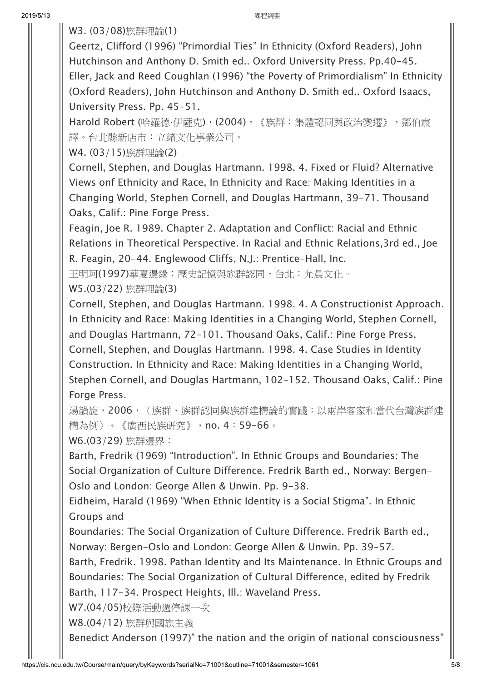W3. (03/08)族群理論(1)

Geertz, Clifford (1996) "Primordial Ties" In Ethnicity (Oxford Readers), John Hutchinson and Anthony D. Smith ed.. Oxford University Press. Pp.40-45. Eller, Jack and Reed Coughlan (1996) "the Poverty of Primordialism" In Ethnicity (Oxford Readers), John Hutchinson and Anthony D. Smith ed.. Oxford Isaacs, University Press. Pp. 45-51.

Harold Robert (哈羅德·伊薩克), (2004), 《族群:集體認同與政治變遷》, 鄧伯宸 譯。台北縣新店市:立緒文化事業公司。

W4. (03/15)族群理論(2)

Cornell, Stephen, and Douglas Hartmann. 1998. 4. Fixed or Fluid? Alternative Views onf Ethnicity and Race, In Ethnicity and Race: Making Identities in a Changing World, Stephen Cornell, and Douglas Hartmann, 39-71. Thousand Oaks, Calif.: Pine Forge Press.

Feagin, Joe R. 1989. Chapter 2. Adaptation and Conflict: Racial and Ethnic Relations in Theoretical Perspective. In Racial and Ethnic Relations,3rd ed., Joe R. Feagin, 20-44. Englewood Cliffs, N.J.: Prentice-Hall, Inc.

王明珂(1997)華夏邊緣:歷史記憶與族群認同,台北:允晨文化。

W5.(03/22) 族群理論(3)

Cornell, Stephen, and Douglas Hartmann. 1998. 4. A Constructionist Approach. In Ethnicity and Race: Making Identities in a Changing World, Stephen Cornell, and Douglas Hartmann, 72-101. Thousand Oaks, Calif.: Pine Forge Press. Cornell, Stephen, and Douglas Hartmann. 1998. 4. Case Studies in Identity Construction. In Ethnicity and Race: Making Identities in a Changing World, Stephen Cornell, and Douglas Hartmann, 102-152. Thousand Oaks, Calif.: Pine Forge Press.

湯韻旋,2006,〈族群、族群認同與族群建構論的實踐:以兩岸客家和當代台灣族群建 構為例〉。《廣西民族研究》,no. 4:59-66。

W6.(03/29) 族群邊界:

Barth, Fredrik (1969) "Introduction". In Ethnic Groups and Boundaries: The Social Organization of Culture Difference. Fredrik Barth ed., Norway: Bergen-Oslo and London: George Allen & Unwin. Pp. 9-38.

Eidheim, Harald (1969) "When Ethnic Identity is a Social Stigma". In Ethnic Groups and

Boundaries: The Social Organization of Culture Difference. Fredrik Barth ed., Norway: Bergen-Oslo and London: George Allen & Unwin. Pp. 39-57.

Barth, Fredrik. 1998. Pathan Identity and Its Maintenance. In Ethnic Groups and Boundaries: The Social Organization of Cultural Difference, edited by Fredrik Barth, 117-34. Prospect Heights, Ill.: Waveland Press.

W7.(04/05)校際活動週停課一次

W8.(04/12) 族群與國族主義

Benedict Anderson (1997)" the nation and the origin of national consciousness"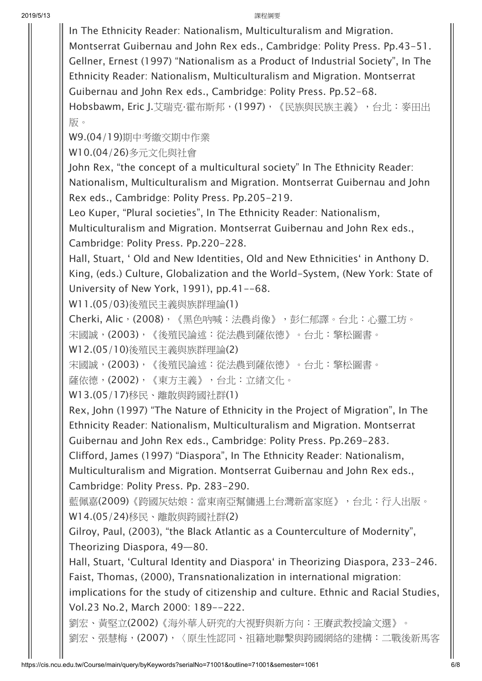In The Ethnicity Reader: Nationalism, Multiculturalism and Migration. Montserrat Guibernau and John Rex eds., Cambridge: Polity Press. Pp.43-51. Gellner, Ernest (1997) "Nationalism as a Product of Industrial Society", In The Ethnicity Reader: Nationalism, Multiculturalism and Migration. Montserrat Guibernau and John Rex eds., Cambridge: Polity Press. Pp.52-68. Hobsbawm, Eric J.艾瑞克·霍布斯邦, (1997), 《民族與民族主義》, 台北: 麥田出 版。 W9.(04/19)期中考繳交期中作業 W10.(04/26)多元文化與社會 John Rex, "the concept of a multicultural society" In The Ethnicity Reader: Nationalism, Multiculturalism and Migration. Montserrat Guibernau and John Rex eds., Cambridge: Polity Press. Pp.205-219. Leo Kuper, "Plural societies", In The Ethnicity Reader: Nationalism, Multiculturalism and Migration. Montserrat Guibernau and John Rex eds., Cambridge: Polity Press. Pp.220-228. Hall, Stuart, ' Old and New Identities, Old and New Ethnicities' in Anthony D. King, (eds.) Culture, Globalization and the World-System, (New York: State of University of New York, 1991), pp.41--68. W11.(05/03)後殖民主義與族群理論(1) Cherki, Alic,(2008),《黑色吶喊:法農肖像》,彭仁郁譯。台北:心靈工坊。 宋國誠,(2003),《後殖民論述:從法農到薩依德》。台北:擎松圖書。 W12.(05/10)後殖民主義與族群理論(2) 宋國誠,(2003),《後殖民論述:從法農到薩依德》。台北:擎松圖書。 薩依德,(2002),《東方主義》,台北:立緒文化。 W13.(05/17)移民、離散與跨國社群(1) Rex, John (1997) "The Nature of Ethnicity in the Project of Migration", In The Ethnicity Reader: Nationalism, Multiculturalism and Migration. Montserrat Guibernau and John Rex eds., Cambridge: Polity Press. Pp.269-283. Clifford, James (1997) "Diaspora", In The Ethnicity Reader: Nationalism, Multiculturalism and Migration. Montserrat Guibernau and John Rex eds., Cambridge: Polity Press. Pp. 283-290. 藍佩嘉(2009)《跨國灰姑娘:當東南亞幫傭遇上台灣新富家庭》,台北:行人出版。 W14.(05/24)移民、離散與跨國社群(2) Gilroy, Paul, (2003), "the Black Atlantic as a Counterculture of Modernity", Theorizing Diaspora, 49—80. Hall, Stuart, 'Cultural Identity and Diaspora' in Theorizing Diaspora, 233-246. Faist, Thomas, (2000), Transnationalization in international migration: implications for the study of citizenship and culture. Ethnic and Racial Studies, Vol.23 No.2, March 2000: 189--222. 劉宏、黃堅立(2002)《海外華人研究的大視野與新方向:王賡武教授論文選》。 劉宏、張慧梅,(2007),〈原生性認同、祖籍地聯繫與跨國網絡的建構:二戰後新馬客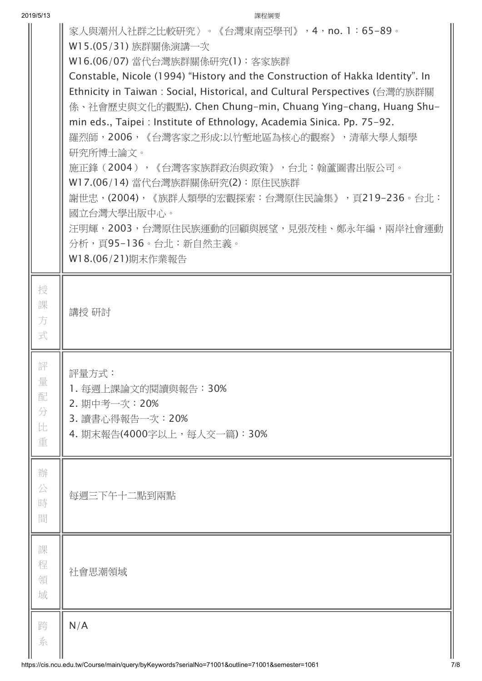|        | 家人與潮州人社群之比較研究 〉。《台灣東南亞學刊》,4,no. 1:65-89。<br>W15.(05/31) 族群關係演講一次                                                                           |  |  |  |  |  |
|--------|--------------------------------------------------------------------------------------------------------------------------------------------|--|--|--|--|--|
|        | W16.(06/07) 當代台灣族群關係研究(1): 客家族群                                                                                                            |  |  |  |  |  |
|        | Constable, Nicole (1994) "History and the Construction of Hakka Identity". In                                                              |  |  |  |  |  |
|        | Ethnicity in Taiwan: Social, Historical, and Cultural Perspectives (台灣的族群關<br>係、社會歷史與文化的觀點). Chen Chung-min, Chuang Ying-chang, Huang Shu- |  |  |  |  |  |
|        | min eds., Taipei : Institute of Ethnology, Academia Sinica. Pp. 75-92.                                                                     |  |  |  |  |  |
|        | 羅烈師, 2006, 《台灣客家之形成:以竹塹地區為核心的觀察》, 清華大學人類學                                                                                                  |  |  |  |  |  |
|        | 研究所博士論文。                                                                                                                                   |  |  |  |  |  |
|        | 施正鋒(2004),《台灣客家族群政治與政策》,台北:翰蘆圖書出版公司。                                                                                                       |  |  |  |  |  |
|        | W17.(06/14) 當代台灣族群關係研究(2): 原住民族群<br>謝世忠,(2004),《族群人類學的宏觀探索:台灣原住民論集》,頁219-236。台北:                                                           |  |  |  |  |  |
|        | 國立台灣大學出版中心。                                                                                                                                |  |  |  |  |  |
|        | 汪明輝,2003,台灣原住民族運動的回顧與展望,見張茂桂、鄭永年編,兩岸社會運動                                                                                                   |  |  |  |  |  |
|        | 分析,頁95-136。台北:新自然主義。                                                                                                                       |  |  |  |  |  |
|        | W18.(06/21)期末作業報告                                                                                                                          |  |  |  |  |  |
| 授      |                                                                                                                                            |  |  |  |  |  |
| 課      |                                                                                                                                            |  |  |  |  |  |
| 方      | 講授 研討                                                                                                                                      |  |  |  |  |  |
| 式      |                                                                                                                                            |  |  |  |  |  |
| 評      | 評量方式:                                                                                                                                      |  |  |  |  |  |
| 量      | 1. 每週上課論文的閱讀與報告:30%                                                                                                                        |  |  |  |  |  |
| 配      | 2. 期中考一次: 20%                                                                                                                              |  |  |  |  |  |
| 分<br>比 | 3. 讀書心得報告一次: 20%                                                                                                                           |  |  |  |  |  |
| 重      | 4. 期末報告(4000字以上,每人交一篇):30%                                                                                                                 |  |  |  |  |  |
|        |                                                                                                                                            |  |  |  |  |  |
| 辦      |                                                                                                                                            |  |  |  |  |  |
| 公<br>時 | 每週三下午十二點到兩點                                                                                                                                |  |  |  |  |  |
| 間      |                                                                                                                                            |  |  |  |  |  |
|        |                                                                                                                                            |  |  |  |  |  |
| 課<br>程 |                                                                                                                                            |  |  |  |  |  |
| 領      | 社會思潮領域                                                                                                                                     |  |  |  |  |  |
| 域      |                                                                                                                                            |  |  |  |  |  |
| 跨      | N/A                                                                                                                                        |  |  |  |  |  |
| 系      |                                                                                                                                            |  |  |  |  |  |
|        |                                                                                                                                            |  |  |  |  |  |